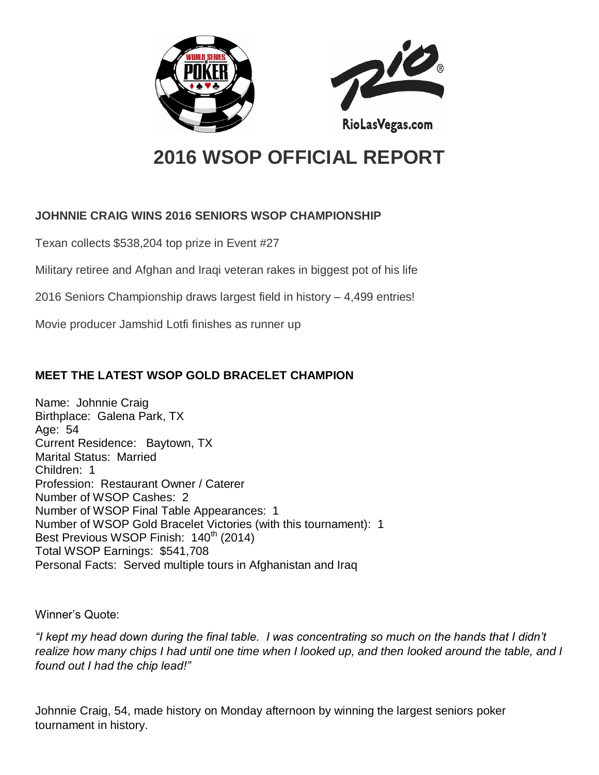



# **2016 WSOP OFFICIAL REPORT**

## **JOHNNIE CRAIG WINS 2016 SENIORS WSOP CHAMPIONSHIP**

Texan collects \$538,204 top prize in Event #27

Military retiree and Afghan and Iraqi veteran rakes in biggest pot of his life

2016 Seniors Championship draws largest field in history – 4,499 entries!

Movie producer Jamshid Lotfi finishes as runner up

# **MEET THE LATEST WSOP GOLD BRACELET CHAMPION**

Name: Johnnie Craig Birthplace: Galena Park, TX Age: 54 Current Residence: Baytown, TX Marital Status: Married Children: 1 Profession: Restaurant Owner / Caterer Number of WSOP Cashes: 2 Number of WSOP Final Table Appearances: 1 Number of WSOP Gold Bracelet Victories (with this tournament): 1 Best Previous WSOP Finish: 140<sup>th</sup> (2014) Total WSOP Earnings: \$541,708 Personal Facts: Served multiple tours in Afghanistan and Iraq

Winner's Quote:

*"I kept my head down during the final table. I was concentrating so much on the hands that I didn't realize how many chips I had until one time when I looked up, and then looked around the table, and I found out I had the chip lead!"*

Johnnie Craig, 54, made history on Monday afternoon by winning the largest seniors poker tournament in history.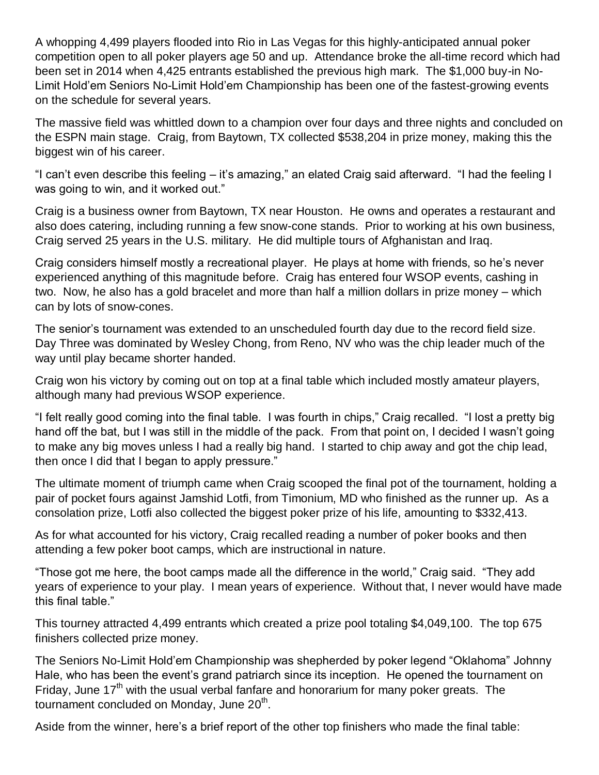A whopping 4,499 players flooded into Rio in Las Vegas for this highly-anticipated annual poker competition open to all poker players age 50 and up. Attendance broke the all-time record which had been set in 2014 when 4,425 entrants established the previous high mark. The \$1,000 buy-in No-Limit Hold'em Seniors No-Limit Hold'em Championship has been one of the fastest-growing events on the schedule for several years.

The massive field was whittled down to a champion over four days and three nights and concluded on the ESPN main stage. Craig, from Baytown, TX collected \$538,204 in prize money, making this the biggest win of his career.

"I can't even describe this feeling – it's amazing," an elated Craig said afterward. "I had the feeling I was going to win, and it worked out."

Craig is a business owner from Baytown, TX near Houston. He owns and operates a restaurant and also does catering, including running a few snow-cone stands. Prior to working at his own business, Craig served 25 years in the U.S. military. He did multiple tours of Afghanistan and Iraq.

Craig considers himself mostly a recreational player. He plays at home with friends, so he's never experienced anything of this magnitude before. Craig has entered four WSOP events, cashing in two. Now, he also has a gold bracelet and more than half a million dollars in prize money – which can by lots of snow-cones.

The senior's tournament was extended to an unscheduled fourth day due to the record field size. Day Three was dominated by Wesley Chong, from Reno, NV who was the chip leader much of the way until play became shorter handed.

Craig won his victory by coming out on top at a final table which included mostly amateur players, although many had previous WSOP experience.

"I felt really good coming into the final table. I was fourth in chips," Craig recalled. "I lost a pretty big hand off the bat, but I was still in the middle of the pack. From that point on, I decided I wasn't going to make any big moves unless I had a really big hand. I started to chip away and got the chip lead, then once I did that I began to apply pressure."

The ultimate moment of triumph came when Craig scooped the final pot of the tournament, holding a pair of pocket fours against Jamshid Lotfi, from Timonium, MD who finished as the runner up. As a consolation prize, Lotfi also collected the biggest poker prize of his life, amounting to \$332,413.

As for what accounted for his victory, Craig recalled reading a number of poker books and then attending a few poker boot camps, which are instructional in nature.

"Those got me here, the boot camps made all the difference in the world," Craig said. "They add years of experience to your play. I mean years of experience. Without that, I never would have made this final table."

This tourney attracted 4,499 entrants which created a prize pool totaling \$4,049,100. The top 675 finishers collected prize money.

The Seniors No-Limit Hold'em Championship was shepherded by poker legend "Oklahoma" Johnny Hale, who has been the event's grand patriarch since its inception. He opened the tournament on Friday, June 17<sup>th</sup> with the usual verbal fanfare and honorarium for many poker greats. The tournament concluded on Monday, June 20<sup>th</sup>.

Aside from the winner, here's a brief report of the other top finishers who made the final table: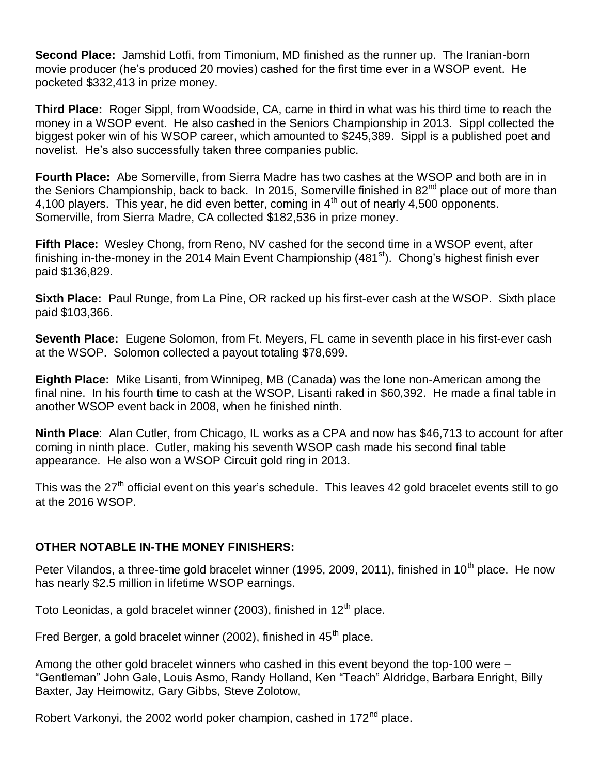**Second Place:** Jamshid Lotfi, from Timonium, MD finished as the runner up. The Iranian-born movie producer (he's produced 20 movies) cashed for the first time ever in a WSOP event. He pocketed \$332,413 in prize money.

**Third Place:** Roger Sippl, from Woodside, CA, came in third in what was his third time to reach the money in a WSOP event. He also cashed in the Seniors Championship in 2013. Sippl collected the biggest poker win of his WSOP career, which amounted to \$245,389. Sippl is a published poet and novelist. He's also successfully taken three companies public.

**Fourth Place:** Abe Somerville, from Sierra Madre has two cashes at the WSOP and both are in in the Seniors Championship, back to back. In 2015, Somerville finished in 82<sup>nd</sup> place out of more than 4,100 players. This year, he did even better, coming in  $4<sup>th</sup>$  out of nearly 4,500 opponents. Somerville, from Sierra Madre, CA collected \$182,536 in prize money.

**Fifth Place:** Wesley Chong, from Reno, NV cashed for the second time in a WSOP event, after finishing in-the-money in the 2014 Main Event Championship  $(481<sup>st</sup>)$ . Chong's highest finish ever paid \$136,829.

**Sixth Place:** Paul Runge, from La Pine, OR racked up his first-ever cash at the WSOP. Sixth place paid \$103,366.

**Seventh Place:** Eugene Solomon, from Ft. Meyers, FL came in seventh place in his first-ever cash at the WSOP. Solomon collected a payout totaling \$78,699.

**Eighth Place:** Mike Lisanti, from Winnipeg, MB (Canada) was the lone non-American among the final nine. In his fourth time to cash at the WSOP, Lisanti raked in \$60,392. He made a final table in another WSOP event back in 2008, when he finished ninth.

**Ninth Place**: Alan Cutler, from Chicago, IL works as a CPA and now has \$46,713 to account for after coming in ninth place. Cutler, making his seventh WSOP cash made his second final table appearance. He also won a WSOP Circuit gold ring in 2013.

This was the 27<sup>th</sup> official event on this year's schedule. This leaves 42 gold bracelet events still to go at the 2016 WSOP.

#### **OTHER NOTABLE IN-THE MONEY FINISHERS:**

Peter Vilandos, a three-time gold bracelet winner (1995, 2009, 2011), finished in 10<sup>th</sup> place. He now has nearly \$2.5 million in lifetime WSOP earnings.

Toto Leonidas, a gold bracelet winner (2003), finished in  $12<sup>th</sup>$  place.

Fred Berger, a gold bracelet winner (2002), finished in  $45<sup>th</sup>$  place.

Among the other gold bracelet winners who cashed in this event beyond the top-100 were – "Gentleman" John Gale, Louis Asmo, Randy Holland, Ken "Teach" Aldridge, Barbara Enright, Billy Baxter, Jay Heimowitz, Gary Gibbs, Steve Zolotow,

Robert Varkonyi, the 2002 world poker champion, cashed in 172<sup>nd</sup> place.